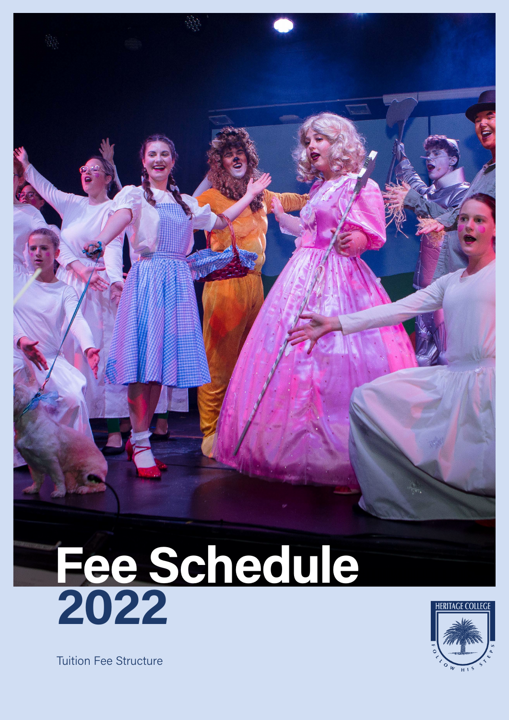



Tuition Fee Structure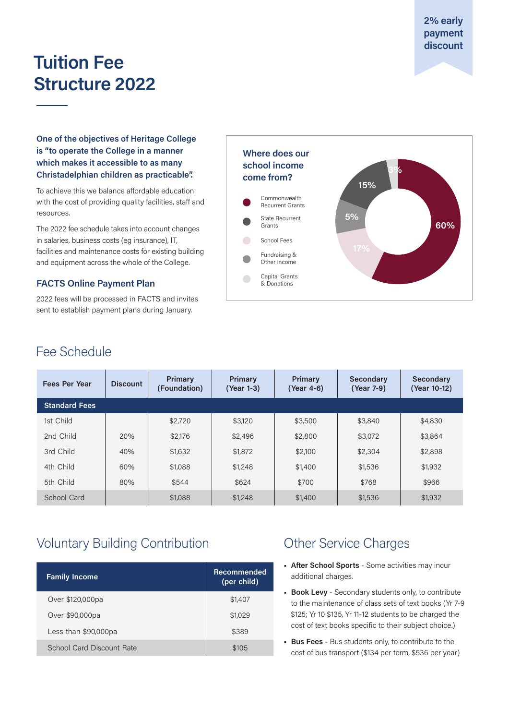**2% early payment discount**

# **Tuition Fee Structure 2022**

**One of the objectives of Heritage College is "to operate the College in a manner which makes it accessible to as many Christadelphian children as practicable".** 

To achieve this we balance affordable education with the cost of providing quality facilities, staff and resources.

The 2022 fee schedule takes into account changes in salaries, business costs (eg insurance), IT, facilities and maintenance costs for existing building and equipment across the whole of the College.

### **FACTS Online Payment Plan**

2022 fees will be processed in FACTS and invites sent to establish payment plans during January.



# Fee Schedule

| <b>Fees Per Year</b> | <b>Discount</b> | Primary<br>(Foundation) | <b>Primary</b><br>(Year 1-3) | Primary<br>(Year 4-6) | Secondary<br>(Year 7-9) | Secondary<br>(Year 10-12) |
|----------------------|-----------------|-------------------------|------------------------------|-----------------------|-------------------------|---------------------------|
| <b>Standard Fees</b> |                 |                         |                              |                       |                         |                           |
| 1st Child            |                 | \$2,720                 | \$3,120                      | \$3,500               | \$3,840                 | \$4,830                   |
| 2nd Child            | 20%             | \$2,176                 | \$2,496                      | \$2,800               | \$3,072                 | \$3,864                   |
| 3rd Child            | 40%             | \$1,632                 | \$1,872                      | \$2,100               | \$2,304                 | \$2,898                   |
| 4th Child            | 60%             | \$1,088                 | \$1,248                      | \$1,400               | \$1,536                 | \$1,932                   |
| 5th Child            | 80%             | \$544                   | \$624                        | \$700                 | \$768                   | \$966                     |
| School Card          |                 | \$1,088                 | \$1,248                      | \$1,400               | \$1,536                 | \$1,932                   |

# Voluntary Building Contribution

| <b>Family Income</b>      | Recommended<br>(per child) |  |
|---------------------------|----------------------------|--|
| Over \$120,000pa          | \$1,407                    |  |
| Over \$90,000pa           | \$1,029                    |  |
| Less than \$90,000pa      | \$389                      |  |
| School Card Discount Rate | \$105                      |  |

# Other Service Charges

- **• After School Sports** Some activities may incur additional charges.
- **• Book Levy** Secondary students only, to contribute to the maintenance of class sets of text books (Yr 7-9 \$125; Yr 10 \$135, Yr 11-12 students to be charged the cost of text books specific to their subject choice.)
- **• Bus Fees** Bus students only, to contribute to the cost of bus transport (\$134 per term, \$536 per year)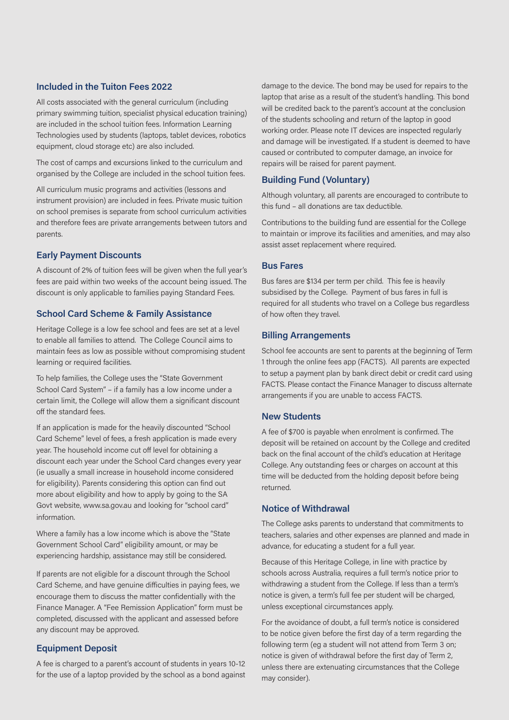#### **Included in the Tuiton Fees 2022**

All costs associated with the general curriculum (including primary swimming tuition, specialist physical education training) are included in the school tuition fees. Information Learning Technologies used by students (laptops, tablet devices, robotics equipment, cloud storage etc) are also included.

The cost of camps and excursions linked to the curriculum and organised by the College are included in the school tuition fees.

All curriculum music programs and activities (lessons and instrument provision) are included in fees. Private music tuition on school premises is separate from school curriculum activities and therefore fees are private arrangements between tutors and parents.

#### **Early Payment Discounts**

A discount of 2% of tuition fees will be given when the full year's fees are paid within two weeks of the account being issued. The discount is only applicable to families paying Standard Fees.

#### **School Card Scheme & Family Assistance**

Heritage College is a low fee school and fees are set at a level to enable all families to attend. The College Council aims to maintain fees as low as possible without compromising student learning or required facilities.

To help families, the College uses the "State Government School Card System" – if a family has a low income under a certain limit, the College will allow them a significant discount off the standard fees.

If an application is made for the heavily discounted "School Card Scheme" level of fees, a fresh application is made every year. The household income cut off level for obtaining a discount each year under the School Card changes every year (ie usually a small increase in household income considered for eligibility). Parents considering this option can find out more about eligibility and how to apply by going to the SA Govt website, www.sa.gov.au and looking for "school card" information.

Where a family has a low income which is above the "State Government School Card" eligibility amount, or may be experiencing hardship, assistance may still be considered.

If parents are not eligible for a discount through the School Card Scheme, and have genuine difficulties in paying fees, we encourage them to discuss the matter confidentially with the Finance Manager. A "Fee Remission Application" form must be completed, discussed with the applicant and assessed before any discount may be approved.

#### **Equipment Deposit**

A fee is charged to a parent's account of students in years 10-12 for the use of a laptop provided by the school as a bond against damage to the device. The bond may be used for repairs to the laptop that arise as a result of the student's handling. This bond will be credited back to the parent's account at the conclusion of the students schooling and return of the laptop in good working order. Please note IT devices are inspected regularly and damage will be investigated. If a student is deemed to have caused or contributed to computer damage, an invoice for repairs will be raised for parent payment.

#### **Building Fund (Voluntary)**

Although voluntary, all parents are encouraged to contribute to this fund – all donations are tax deductible.

Contributions to the building fund are essential for the College to maintain or improve its facilities and amenities, and may also assist asset replacement where required.

#### **Bus Fares**

Bus fares are \$134 per term per child. This fee is heavily subsidised by the College. Payment of bus fares in full is required for all students who travel on a College bus regardless of how often they travel.

#### **Billing Arrangements**

School fee accounts are sent to parents at the beginning of Term 1 through the online fees app (FACTS). All parents are expected to setup a payment plan by bank direct debit or credit card using FACTS. Please contact the Finance Manager to discuss alternate arrangements if you are unable to access FACTS.

#### **New Students**

A fee of \$700 is payable when enrolment is confirmed. The deposit will be retained on account by the College and credited back on the final account of the child's education at Heritage College. Any outstanding fees or charges on account at this time will be deducted from the holding deposit before being returned.

### **Notice of Withdrawal**

The College asks parents to understand that commitments to teachers, salaries and other expenses are planned and made in advance, for educating a student for a full year.

Because of this Heritage College, in line with practice by schools across Australia, requires a full term's notice prior to withdrawing a student from the College. If less than a term's notice is given, a term's full fee per student will be charged, unless exceptional circumstances apply.

For the avoidance of doubt, a full term's notice is considered to be notice given before the first day of a term regarding the following term (eg a student will not attend from Term 3 on; notice is given of withdrawal before the first day of Term 2, unless there are extenuating circumstances that the College may consider).